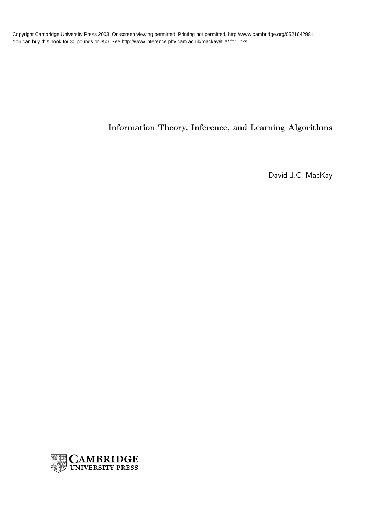Copyright Cambridge University Press 2003. On-screen viewing permitted. Printing not permitted. http://www.cambridge.org/0521642981 You can buy this book for 30 pounds or \$50. See http://www.inference.phy.cam.ac.uk/mackay/itila/ for links.

## Information Theory, Inference, and Learning Algorithms

David J.C. MacKay

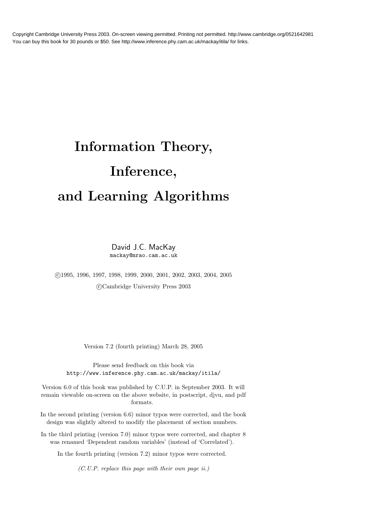Copyright Cambridge University Press 2003. On-screen viewing permitted. Printing not permitted. http://www.cambridge.org/0521642981 You can buy this book for 30 pounds or \$50. See http://www.inference.phy.cam.ac.uk/mackay/itila/ for links.

## Information Theory, Inference, and Learning Algorithms

David J.C. MacKay mackay@mrao.cam.ac.uk

 c 1995, 1996, 1997, 1998, 1999, 2000, 2001, 2002, 2003, 2004, 2005 c Cambridge University Press 2003

Version 7.2 (fourth printing) March 28, 2005

Please send feedback on this book via http://www.inference.phy.cam.ac.uk/mackay/itila/

Version 6.0 of this book was published by C.U.P. in September 2003. It will remain viewable on-screen on the above website, in postscript, djvu, and pdf formats.

In the second printing (version 6.6) minor typos were corrected, and the book design was slightly altered to modify the placement of section numbers.

In the third printing (version 7.0) minor typos were corrected, and chapter 8 was renamed 'Dependent random variables' (instead of 'Correlated').

In the fourth printing (version 7.2) minor typos were corrected.

(C.U.P. replace this page with their own page ii.)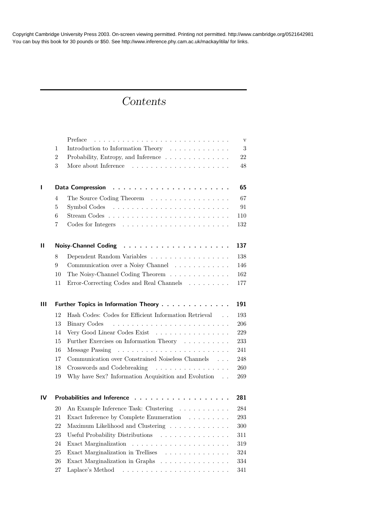Copyright Cambridge University Press 2003. On-screen viewing permitted. Printing not permitted. http://www.cambridge.org/0521642981 You can buy this book for 30 pounds or \$50. See http://www.inference.phy.cam.ac.uk/mackay/itila/ for links.

## Contents

|               |                                             | Preface                                                                                                                                                                                                                                                                                                                                                                                                                                                                        | $\mathbf{V}$ |
|---------------|---------------------------------------------|--------------------------------------------------------------------------------------------------------------------------------------------------------------------------------------------------------------------------------------------------------------------------------------------------------------------------------------------------------------------------------------------------------------------------------------------------------------------------------|--------------|
|               | $\mathbf{1}$                                | Introduction to Information Theory                                                                                                                                                                                                                                                                                                                                                                                                                                             | 3            |
|               | $\overline{2}$                              | Probability, Entropy, and Inference                                                                                                                                                                                                                                                                                                                                                                                                                                            | 22           |
|               | 3                                           |                                                                                                                                                                                                                                                                                                                                                                                                                                                                                | 48           |
| L             | Data Compression                            |                                                                                                                                                                                                                                                                                                                                                                                                                                                                                |              |
|               | $\overline{4}$                              | The Source Coding Theorem                                                                                                                                                                                                                                                                                                                                                                                                                                                      | 67           |
|               | 5                                           |                                                                                                                                                                                                                                                                                                                                                                                                                                                                                | 91           |
|               | 6                                           |                                                                                                                                                                                                                                                                                                                                                                                                                                                                                | 110          |
|               | 7                                           |                                                                                                                                                                                                                                                                                                                                                                                                                                                                                | 132          |
| $\mathbf{II}$ |                                             | <b>Noisy-Channel Coding</b>                                                                                                                                                                                                                                                                                                                                                                                                                                                    | 137          |
|               | 8                                           | Dependent Random Variables                                                                                                                                                                                                                                                                                                                                                                                                                                                     | 138          |
|               | 9                                           | Communication over a Noisy Channel                                                                                                                                                                                                                                                                                                                                                                                                                                             | 146          |
|               | 10                                          | The Noisy-Channel Coding Theorem                                                                                                                                                                                                                                                                                                                                                                                                                                               | 162          |
|               | 11                                          | Error-Correcting Codes and Real Channels                                                                                                                                                                                                                                                                                                                                                                                                                                       | 177          |
| Ш             | 191<br>Further Topics in Information Theory |                                                                                                                                                                                                                                                                                                                                                                                                                                                                                |              |
|               | 12                                          | Hash Codes: Codes for Efficient Information Retrieval<br>$\sim$ $\sim$ $\sim$                                                                                                                                                                                                                                                                                                                                                                                                  | 193          |
|               | 13                                          | Binary Codes                                                                                                                                                                                                                                                                                                                                                                                                                                                                   | 206          |
|               | 14                                          | Very Good Linear Codes Exist                                                                                                                                                                                                                                                                                                                                                                                                                                                   | 229          |
|               | 15                                          | Further Exercises on Information Theory $\cdots \cdots \cdots$                                                                                                                                                                                                                                                                                                                                                                                                                 | 233          |
|               | 16                                          | Message Passing<br>$\mathcal{L}(\mathcal{L}(\mathcal{L},\mathcal{L},\mathcal{L},\mathcal{L},\mathcal{L},\mathcal{L},\mathcal{L},\mathcal{L},\mathcal{L},\mathcal{L},\mathcal{L},\mathcal{L},\mathcal{L},\mathcal{L},\mathcal{L},\mathcal{L},\mathcal{L},\mathcal{L},\mathcal{L},\mathcal{L},\mathcal{L},\mathcal{L},\mathcal{L},\mathcal{L},\mathcal{L},\mathcal{L},\mathcal{L},\mathcal{L},\mathcal{L},\mathcal{L},\mathcal{L},\mathcal{L},\mathcal{L},\mathcal{L},\mathcal{$ | 241          |
|               | 17                                          | Communication over Constrained Noiseless Channels                                                                                                                                                                                                                                                                                                                                                                                                                              | 248          |
|               | 18                                          | Crosswords and Codebreaking                                                                                                                                                                                                                                                                                                                                                                                                                                                    | 260          |
|               | 19                                          | Why have Sex? Information Acquisition and Evolution                                                                                                                                                                                                                                                                                                                                                                                                                            | 269          |
| IV            |                                             | <b>Probabilities and Inference</b>                                                                                                                                                                                                                                                                                                                                                                                                                                             | 281          |
|               | 20                                          | An Example Inference Task: Clustering                                                                                                                                                                                                                                                                                                                                                                                                                                          | 284          |
|               |                                             | 21 Exact Inference by Complete Enumeration                                                                                                                                                                                                                                                                                                                                                                                                                                     | 293          |
|               | 22                                          | Maximum Likelihood and Clustering                                                                                                                                                                                                                                                                                                                                                                                                                                              | 300          |
|               | 23                                          | Useful Probability Distributions                                                                                                                                                                                                                                                                                                                                                                                                                                               | 311          |
|               | 24                                          |                                                                                                                                                                                                                                                                                                                                                                                                                                                                                | 319          |
|               | 25                                          | Exact Marginalization in Trellises                                                                                                                                                                                                                                                                                                                                                                                                                                             | 324          |
|               | $26\,$                                      | Exact Marginalization in Graphs                                                                                                                                                                                                                                                                                                                                                                                                                                                | 334          |
|               | 27                                          | Laplace's Method                                                                                                                                                                                                                                                                                                                                                                                                                                                               | 341          |
|               |                                             |                                                                                                                                                                                                                                                                                                                                                                                                                                                                                |              |